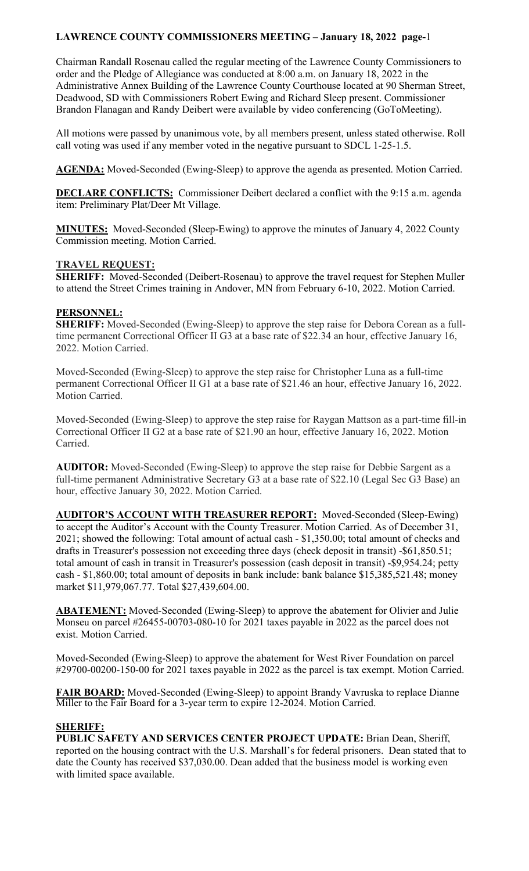Chairman Randall Rosenau called the regular meeting of the Lawrence County Commissioners to order and the Pledge of Allegiance was conducted at 8:00 a.m. on January 18, 2022 in the Administrative Annex Building of the Lawrence County Courthouse located at 90 Sherman Street, Deadwood, SD with Commissioners Robert Ewing and Richard Sleep present. Commissioner Brandon Flanagan and Randy Deibert were available by video conferencing (GoToMeeting).

All motions were passed by unanimous vote, by all members present, unless stated otherwise. Roll call voting was used if any member voted in the negative pursuant to SDCL 1-25-1.5.

**AGENDA:** Moved-Seconded (Ewing-Sleep) to approve the agenda as presented. Motion Carried.

**DECLARE CONFLICTS:** Commissioner Deibert declared a conflict with the 9:15 a.m. agenda item: Preliminary Plat/Deer Mt Village.

**MINUTES:** Moved-Seconded (Sleep-Ewing) to approve the minutes of January 4, 2022 County Commission meeting. Motion Carried.

## **TRAVEL REQUEST:**

**SHERIFF:** Moved-Seconded (Deibert-Rosenau) to approve the travel request for Stephen Muller to attend the Street Crimes training in Andover, MN from February 6-10, 2022. Motion Carried.

## **PERSONNEL:**

**SHERIFF:** Moved-Seconded (Ewing-Sleep) to approve the step raise for Debora Corean as a fulltime permanent Correctional Officer II G3 at a base rate of \$22.34 an hour, effective January 16, 2022. Motion Carried.

Moved-Seconded (Ewing-Sleep) to approve the step raise for Christopher Luna as a full-time permanent Correctional Officer II G1 at a base rate of \$21.46 an hour, effective January 16, 2022. Motion Carried.

Moved-Seconded (Ewing-Sleep) to approve the step raise for Raygan Mattson as a part-time fill-in Correctional Officer II G2 at a base rate of \$21.90 an hour, effective January 16, 2022. Motion Carried.

**AUDITOR:** Moved-Seconded (Ewing-Sleep) to approve the step raise for Debbie Sargent as a full-time permanent Administrative Secretary G3 at a base rate of \$22.10 (Legal Sec G3 Base) an hour, effective January 30, 2022. Motion Carried.

**AUDITOR'S ACCOUNT WITH TREASURER REPORT:** Moved-Seconded (Sleep-Ewing) to accept the Auditor's Account with the County Treasurer. Motion Carried. As of December 31, 2021; showed the following: Total amount of actual cash - \$1,350.00; total amount of checks and drafts in Treasurer's possession not exceeding three days (check deposit in transit) -\$61,850.51; total amount of cash in transit in Treasurer's possession (cash deposit in transit) -\$9,954.24; petty cash - \$1,860.00; total amount of deposits in bank include: bank balance \$15,385,521.48; money market \$11,979,067.77. Total \$27,439,604.00.

**ABATEMENT:** Moved-Seconded (Ewing-Sleep) to approve the abatement for Olivier and Julie Monseu on parcel #26455-00703-080-10 for 2021 taxes payable in 2022 as the parcel does not exist. Motion Carried.

Moved-Seconded (Ewing-Sleep) to approve the abatement for West River Foundation on parcel #29700-00200-150-00 for 2021 taxes payable in 2022 as the parcel is tax exempt. Motion Carried.

**FAIR BOARD:** Moved-Seconded (Ewing-Sleep) to appoint Brandy Vavruska to replace Dianne Miller to the Fair Board for a 3-year term to expire 12-2024. Motion Carried.

## **SHERIFF:**

**PUBLIC SAFETY AND SERVICES CENTER PROJECT UPDATE:** Brian Dean, Sheriff, reported on the housing contract with the U.S. Marshall's for federal prisoners. Dean stated that to date the County has received \$37,030.00. Dean added that the business model is working even with limited space available.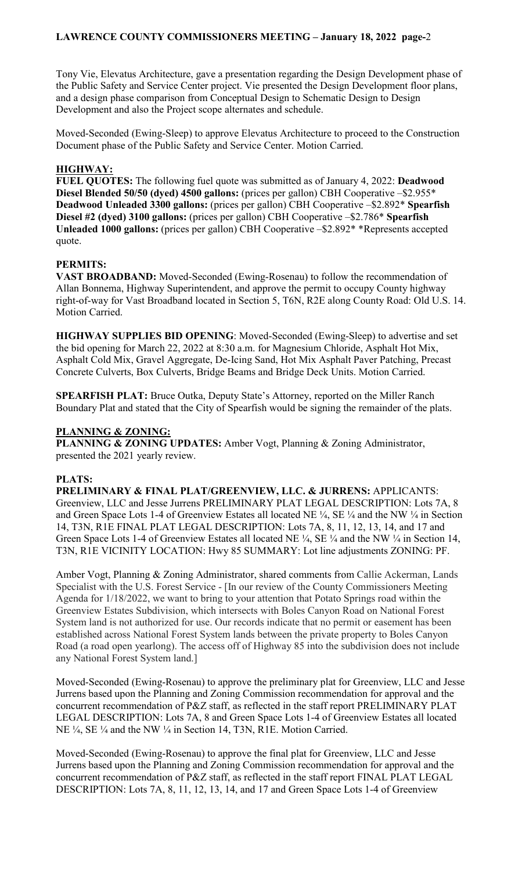Tony Vie, Elevatus Architecture, gave a presentation regarding the Design Development phase of the Public Safety and Service Center project. Vie presented the Design Development floor plans, and a design phase comparison from Conceptual Design to Schematic Design to Design Development and also the Project scope alternates and schedule.

Moved-Seconded (Ewing-Sleep) to approve Elevatus Architecture to proceed to the Construction Document phase of the Public Safety and Service Center. Motion Carried.

## **HIGHWAY:**

**FUEL QUOTES:** The following fuel quote was submitted as of January 4, 2022: **Deadwood Diesel Blended 50/50 (dyed) 4500 gallons:** (prices per gallon) CBH Cooperative –\$2.955\* **Deadwood Unleaded 3300 gallons:** (prices per gallon) CBH Cooperative –\$2.892\* **Spearfish Diesel #2 (dyed) 3100 gallons:** (prices per gallon) CBH Cooperative –\$2.786\* **Spearfish Unleaded 1000 gallons:** (prices per gallon) CBH Cooperative –\$2.892\* \*Represents accepted quote.

## **PERMITS:**

**VAST BROADBAND:** Moved-Seconded (Ewing-Rosenau) to follow the recommendation of Allan Bonnema, Highway Superintendent, and approve the permit to occupy County highway right-of-way for Vast Broadband located in Section 5, T6N, R2E along County Road: Old U.S. 14. Motion Carried.

**HIGHWAY SUPPLIES BID OPENING**: Moved-Seconded (Ewing-Sleep) to advertise and set the bid opening for March 22, 2022 at 8:30 a.m. for Magnesium Chloride, Asphalt Hot Mix, Asphalt Cold Mix, Gravel Aggregate, De-Icing Sand, Hot Mix Asphalt Paver Patching, Precast Concrete Culverts, Box Culverts, Bridge Beams and Bridge Deck Units. Motion Carried.

**SPEARFISH PLAT:** Bruce Outka, Deputy State's Attorney, reported on the Miller Ranch Boundary Plat and stated that the City of Spearfish would be signing the remainder of the plats.

# **PLANNING & ZONING:**

**PLANNING & ZONING UPDATES:** Amber Vogt, Planning & Zoning Administrator, presented the 2021 yearly review.

# **PLATS:**

**PRELIMINARY & FINAL PLAT/GREENVIEW, LLC. & JURRENS:** APPLICANTS: Greenview, LLC and Jesse Jurrens PRELIMINARY PLAT LEGAL DESCRIPTION: Lots 7A, 8 and Green Space Lots 1-4 of Greenview Estates all located NE  $\frac{1}{4}$ , SE  $\frac{1}{4}$  and the NW  $\frac{1}{4}$  in Section 14, T3N, R1E FINAL PLAT LEGAL DESCRIPTION: Lots 7A, 8, 11, 12, 13, 14, and 17 and Green Space Lots 1-4 of Greenview Estates all located NE  $\frac{1}{4}$ , SE  $\frac{1}{4}$  and the NW  $\frac{1}{4}$  in Section 14, T3N, R1E VICINITY LOCATION: Hwy 85 SUMMARY: Lot line adjustments ZONING: PF.

Amber Vogt, Planning & Zoning Administrator, shared comments from Callie Ackerman, Lands Specialist with the U.S. Forest Service - [In our review of the County Commissioners Meeting Agenda for 1/18/2022, we want to bring to your attention that Potato Springs road within the Greenview Estates Subdivision, which intersects with Boles Canyon Road on National Forest System land is not authorized for use. Our records indicate that no permit or easement has been established across National Forest System lands between the private property to Boles Canyon Road (a road open yearlong). The access off of Highway 85 into the subdivision does not include any National Forest System land.]

Moved-Seconded (Ewing-Rosenau) to approve the preliminary plat for Greenview, LLC and Jesse Jurrens based upon the Planning and Zoning Commission recommendation for approval and the concurrent recommendation of P&Z staff, as reflected in the staff report PRELIMINARY PLAT LEGAL DESCRIPTION: Lots 7A, 8 and Green Space Lots 1-4 of Greenview Estates all located NE ¼, SE ¼ and the NW ¼ in Section 14, T3N, R1E. Motion Carried.

Moved-Seconded (Ewing-Rosenau) to approve the final plat for Greenview, LLC and Jesse Jurrens based upon the Planning and Zoning Commission recommendation for approval and the concurrent recommendation of P&Z staff, as reflected in the staff report FINAL PLAT LEGAL DESCRIPTION: Lots 7A, 8, 11, 12, 13, 14, and 17 and Green Space Lots 1-4 of Greenview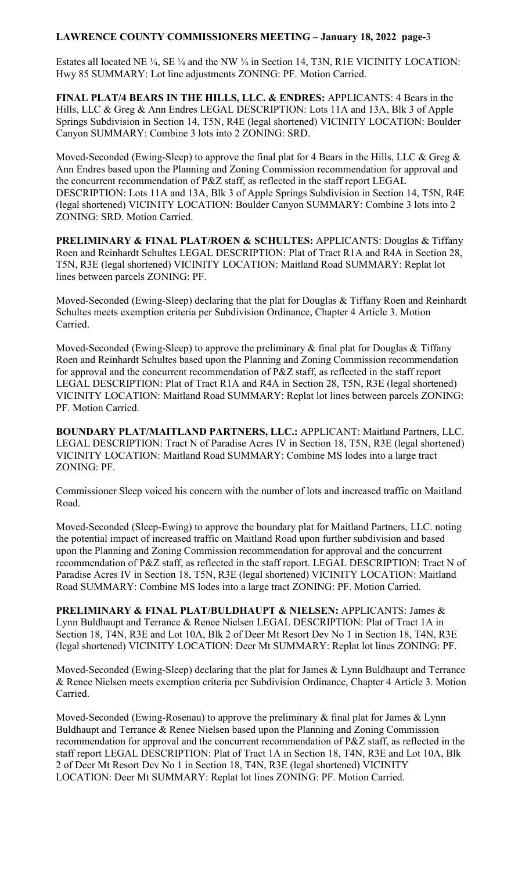Estates all located NE ¼, SE ¼ and the NW ¼ in Section 14, T3N, R1E VICINITY LOCATION: Hwy 85 SUMMARY: Lot line adjustments ZONING: PF. Motion Carried.

**FINAL PLAT/4 BEARS IN THE HILLS, LLC. & ENDRES:** APPLICANTS: 4 Bears in the Hills, LLC & Greg & Ann Endres LEGAL DESCRIPTION: Lots 11A and 13A, Blk 3 of Apple Springs Subdivision in Section 14, T5N, R4E (legal shortened) VICINITY LOCATION: Boulder Canyon SUMMARY: Combine 3 lots into 2 ZONING: SRD.

Moved-Seconded (Ewing-Sleep) to approve the final plat for 4 Bears in the Hills, LLC & Greg  $\&$ Ann Endres based upon the Planning and Zoning Commission recommendation for approval and the concurrent recommendation of P&Z staff, as reflected in the staff report LEGAL DESCRIPTION: Lots 11A and 13A, Blk 3 of Apple Springs Subdivision in Section 14, T5N, R4E (legal shortened) VICINITY LOCATION: Boulder Canyon SUMMARY: Combine 3 lots into 2 ZONING: SRD. Motion Carried.

**PRELIMINARY & FINAL PLAT/ROEN & SCHULTES:** APPLICANTS: Douglas & Tiffany Roen and Reinhardt Schultes LEGAL DESCRIPTION: Plat of Tract R1A and R4A in Section 28, T5N, R3E (legal shortened) VICINITY LOCATION: Maitland Road SUMMARY: Replat lot lines between parcels ZONING: PF.

Moved-Seconded (Ewing-Sleep) declaring that the plat for Douglas & Tiffany Roen and Reinhardt Schultes meets exemption criteria per Subdivision Ordinance, Chapter 4 Article 3. Motion Carried.

Moved-Seconded (Ewing-Sleep) to approve the preliminary & final plat for Douglas & Tiffany Roen and Reinhardt Schultes based upon the Planning and Zoning Commission recommendation for approval and the concurrent recommendation of P&Z staff, as reflected in the staff report LEGAL DESCRIPTION: Plat of Tract R1A and R4A in Section 28, T5N, R3E (legal shortened) VICINITY LOCATION: Maitland Road SUMMARY: Replat lot lines between parcels ZONING: PF. Motion Carried.

**BOUNDARY PLAT/MAITLAND PARTNERS, LLC.:** APPLICANT: Maitland Partners, LLC. LEGAL DESCRIPTION: Tract N of Paradise Acres IV in Section 18, T5N, R3E (legal shortened) VICINITY LOCATION: Maitland Road SUMMARY: Combine MS lodes into a large tract ZONING: PF.

Commissioner Sleep voiced his concern with the number of lots and increased traffic on Maitland Road.

Moved-Seconded (Sleep-Ewing) to approve the boundary plat for Maitland Partners, LLC. noting the potential impact of increased traffic on Maitland Road upon further subdivision and based upon the Planning and Zoning Commission recommendation for approval and the concurrent recommendation of P&Z staff, as reflected in the staff report. LEGAL DESCRIPTION: Tract N of Paradise Acres IV in Section 18, T5N, R3E (legal shortened) VICINITY LOCATION: Maitland Road SUMMARY: Combine MS lodes into a large tract ZONING: PF. Motion Carried.

**PRELIMINARY & FINAL PLAT/BULDHAUPT & NIELSEN:** APPLICANTS: James & Lynn Buldhaupt and Terrance & Renee Nielsen LEGAL DESCRIPTION: Plat of Tract 1A in Section 18, T4N, R3E and Lot 10A, Blk 2 of Deer Mt Resort Dev No 1 in Section 18, T4N, R3E (legal shortened) VICINITY LOCATION: Deer Mt SUMMARY: Replat lot lines ZONING: PF.

Moved-Seconded (Ewing-Sleep) declaring that the plat for James & Lynn Buldhaupt and Terrance & Renee Nielsen meets exemption criteria per Subdivision Ordinance, Chapter 4 Article 3. Motion Carried.

Moved-Seconded (Ewing-Rosenau) to approve the preliminary & final plat for James & Lynn Buldhaupt and Terrance & Renee Nielsen based upon the Planning and Zoning Commission recommendation for approval and the concurrent recommendation of P&Z staff, as reflected in the staff report LEGAL DESCRIPTION: Plat of Tract 1A in Section 18, T4N, R3E and Lot 10A, Blk 2 of Deer Mt Resort Dev No 1 in Section 18, T4N, R3E (legal shortened) VICINITY LOCATION: Deer Mt SUMMARY: Replat lot lines ZONING: PF. Motion Carried.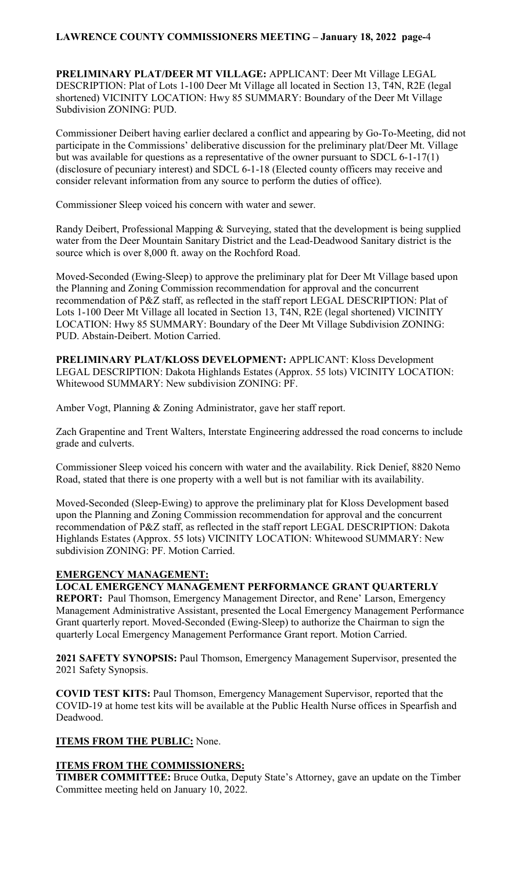**PRELIMINARY PLAT/DEER MT VILLAGE:** APPLICANT: Deer Mt Village LEGAL DESCRIPTION: Plat of Lots 1-100 Deer Mt Village all located in Section 13, T4N, R2E (legal shortened) VICINITY LOCATION: Hwy 85 SUMMARY: Boundary of the Deer Mt Village Subdivision ZONING: PUD.

Commissioner Deibert having earlier declared a conflict and appearing by Go-To-Meeting, did not participate in the Commissions' deliberative discussion for the preliminary plat/Deer Mt. Village but was available for questions as a representative of the owner pursuant to SDCL 6-1-17(1) (disclosure of pecuniary interest) and SDCL 6-1-18 (Elected county officers may receive and consider relevant information from any source to perform the duties of office).

Commissioner Sleep voiced his concern with water and sewer.

Randy Deibert, Professional Mapping & Surveying, stated that the development is being supplied water from the Deer Mountain Sanitary District and the Lead-Deadwood Sanitary district is the source which is over 8,000 ft. away on the Rochford Road.

Moved-Seconded (Ewing-Sleep) to approve the preliminary plat for Deer Mt Village based upon the Planning and Zoning Commission recommendation for approval and the concurrent recommendation of P&Z staff, as reflected in the staff report LEGAL DESCRIPTION: Plat of Lots 1-100 Deer Mt Village all located in Section 13, T4N, R2E (legal shortened) VICINITY LOCATION: Hwy 85 SUMMARY: Boundary of the Deer Mt Village Subdivision ZONING: PUD. Abstain-Deibert. Motion Carried.

**PRELIMINARY PLAT/KLOSS DEVELOPMENT:** APPLICANT: Kloss Development LEGAL DESCRIPTION: Dakota Highlands Estates (Approx. 55 lots) VICINITY LOCATION: Whitewood SUMMARY: New subdivision ZONING: PF.

Amber Vogt, Planning & Zoning Administrator, gave her staff report.

Zach Grapentine and Trent Walters, Interstate Engineering addressed the road concerns to include grade and culverts.

Commissioner Sleep voiced his concern with water and the availability. Rick Denief, 8820 Nemo Road, stated that there is one property with a well but is not familiar with its availability.

Moved-Seconded (Sleep-Ewing) to approve the preliminary plat for Kloss Development based upon the Planning and Zoning Commission recommendation for approval and the concurrent recommendation of P&Z staff, as reflected in the staff report LEGAL DESCRIPTION: Dakota Highlands Estates (Approx. 55 lots) VICINITY LOCATION: Whitewood SUMMARY: New subdivision ZONING: PF. Motion Carried.

## **EMERGENCY MANAGEMENT:**

**LOCAL EMERGENCY MANAGEMENT PERFORMANCE GRANT QUARTERLY** 

**REPORT:** Paul Thomson, Emergency Management Director, and Rene' Larson, Emergency Management Administrative Assistant, presented the Local Emergency Management Performance Grant quarterly report. Moved-Seconded (Ewing-Sleep) to authorize the Chairman to sign the quarterly Local Emergency Management Performance Grant report. Motion Carried.

**2021 SAFETY SYNOPSIS:** Paul Thomson, Emergency Management Supervisor, presented the 2021 Safety Synopsis.

**COVID TEST KITS:** Paul Thomson, Emergency Management Supervisor, reported that the COVID-19 at home test kits will be available at the Public Health Nurse offices in Spearfish and Deadwood.

## **ITEMS FROM THE PUBLIC:** None.

## **ITEMS FROM THE COMMISSIONERS:**

**TIMBER COMMITTEE:** Bruce Outka, Deputy State's Attorney, gave an update on the Timber Committee meeting held on January 10, 2022.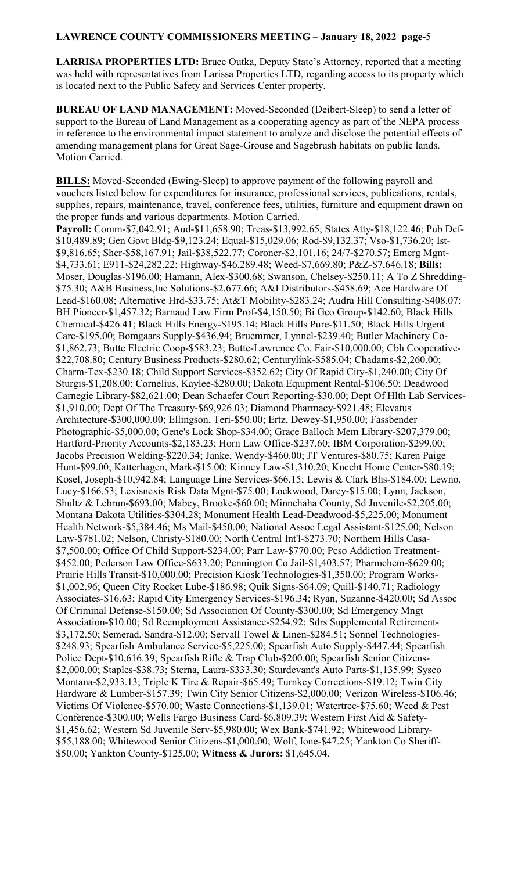**LARRISA PROPERTIES LTD:** Bruce Outka, Deputy State's Attorney, reported that a meeting was held with representatives from Larissa Properties LTD, regarding access to its property which is located next to the Public Safety and Services Center property.

**BUREAU OF LAND MANAGEMENT:** Moved-Seconded (Deibert-Sleep) to send a letter of support to the Bureau of Land Management as a cooperating agency as part of the NEPA process in reference to the environmental impact statement to analyze and disclose the potential effects of amending management plans for Great Sage-Grouse and Sagebrush habitats on public lands. Motion Carried.

**BILLS:** Moved-Seconded (Ewing-Sleep) to approve payment of the following payroll and vouchers listed below for expenditures for insurance, professional services, publications, rentals, supplies, repairs, maintenance, travel, conference fees, utilities, furniture and equipment drawn on the proper funds and various departments. Motion Carried. **Payroll:** Comm-\$7,042.91; Aud-\$11,658.90; Treas-\$13,992.65; States Atty-\$18,122.46; Pub Def- \$10,489.89; Gen Govt Bldg-\$9,123.24; Equal-\$15,029.06; Rod-\$9,132.37; Vso-\$1,736.20; Ist- \$9,816.65; Sher-\$58,167.91; Jail-\$38,522.77; Coroner-\$2,101.16; 24/7-\$270.57; Emerg Mgnt- \$4,733.61; E911-\$24,282.22; Highway-\$46,289.48; Weed-\$7,669.80; P&Z-\$7,646.18; **Bills:**  Moser, Douglas-\$196.00; Hamann, Alex-\$300.68; Swanson, Chelsey-\$250.11; A To Z Shredding- \$75.30; A&B Business,Inc Solutions-\$2,677.66; A&I Distributors-\$458.69; Ace Hardware Of Lead-\$160.08; Alternative Hrd-\$33.75; At&T Mobility-\$283.24; Audra Hill Consulting-\$408.07; BH Pioneer-\$1,457.32; Barnaud Law Firm Prof-\$4,150.50; Bi Geo Group-\$142.60; Black Hills Chemical-\$426.41; Black Hills Energy-\$195.14; Black Hills Pure-\$11.50; Black Hills Urgent Care-\$195.00; Bomgaars Supply-\$436.94; Bruemmer, Lynnel-\$239.40; Butler Machinery Co- \$1,862.73; Butte Electric Coop-\$583.23; Butte-Lawrence Co. Fair-\$10,000.00; Cbh Cooperative- \$22,708.80; Century Business Products-\$280.62; Centurylink-\$585.04; Chadams-\$2,260.00; Charm-Tex-\$230.18; Child Support Services-\$352.62; City Of Rapid City-\$1,240.00; City Of Sturgis-\$1,208.00; Cornelius, Kaylee-\$280.00; Dakota Equipment Rental-\$106.50; Deadwood Carnegie Library-\$82,621.00; Dean Schaefer Court Reporting-\$30.00; Dept Of Hlth Lab Services- \$1,910.00; Dept Of The Treasury-\$69,926.03; Diamond Pharmacy-\$921.48; Elevatus Architecture-\$300,000.00; Ellingson, Teri-\$50.00; Ertz, Dewey-\$1,950.00; Fassbender Photographic-\$5,000.00; Gene's Lock Shop-\$34.00; Grace Balloch Mem Library-\$207,379.00; Hartford-Priority Accounts-\$2,183.23; Horn Law Office-\$237.60; IBM Corporation-\$299.00; Jacobs Precision Welding-\$220.34; Janke, Wendy-\$460.00; JT Ventures-\$80.75; Karen Paige Hunt-\$99.00; Katterhagen, Mark-\$15.00; Kinney Law-\$1,310.20; Knecht Home Center-\$80.19; Kosel, Joseph-\$10,942.84; Language Line Services-\$66.15; Lewis & Clark Bhs-\$184.00; Lewno, Lucy-\$166.53; Lexisnexis Risk Data Mgnt-\$75.00; Lockwood, Darcy-\$15.00; Lynn, Jackson, Shultz & Lebrun-\$693.00; Mabey, Brooke-\$60.00; Minnehaha County, Sd Juvenile-\$2,205.00; Montana Dakota Utilities-\$304.28; Monument Health Lead-Deadwood-\$5,225.00; Monument Health Network-\$5,384.46; Ms Mail-\$450.00; National Assoc Legal Assistant-\$125.00; Nelson Law-\$781.02; Nelson, Christy-\$180.00; North Central Int'l-\$273.70; Northern Hills Casa- \$7,500.00; Office Of Child Support-\$234.00; Parr Law-\$770.00; Pcso Addiction Treatment- \$452.00; Pederson Law Office-\$633.20; Pennington Co Jail-\$1,403.57; Pharmchem-\$629.00; Prairie Hills Transit-\$10,000.00; Precision Kiosk Technologies-\$1,350.00; Program Works- \$1,002.96; Queen City Rocket Lube-\$186.98; Quik Signs-\$64.09; Quill-\$140.71; Radiology Associates-\$16.63; Rapid City Emergency Services-\$196.34; Ryan, Suzanne-\$420.00; Sd Assoc Of Criminal Defense-\$150.00; Sd Association Of County-\$300.00; Sd Emergency Mngt Association-\$10.00; Sd Reemployment Assistance-\$254.92; Sdrs Supplemental Retirement- \$3,172.50; Semerad, Sandra-\$12.00; Servall Towel & Linen-\$284.51; Sonnel Technologies- \$248.93; Spearfish Ambulance Service-\$5,225.00; Spearfish Auto Supply-\$447.44; Spearfish Police Dept-\$10,616.39; Spearfish Rifle & Trap Club-\$200.00; Spearfish Senior Citizens- \$2,000.00; Staples-\$38.73; Sterna, Laura-\$333.30; Sturdevant's Auto Parts-\$1,135.99; Sysco Montana-\$2,933.13; Triple K Tire & Repair-\$65.49; Turnkey Corrections-\$19.12; Twin City Hardware & Lumber-\$157.39; Twin City Senior Citizens-\$2,000.00; Verizon Wireless-\$106.46; Victims Of Violence-\$570.00; Waste Connections-\$1,139.01; Watertree-\$75.60; Weed & Pest Conference-\$300.00; Wells Fargo Business Card-\$6,809.39: Western First Aid & Safety- \$1,456.62; Western Sd Juvenile Serv-\$5,980.00; Wex Bank-\$741.92; Whitewood Library- \$55,188.00; Whitewood Senior Citizens-\$1,000.00; Wolf, Ione-\$47.25; Yankton Co Sheriff- \$50.00; Yankton County-\$125.00; **Witness & Jurors:** \$1,645.04.